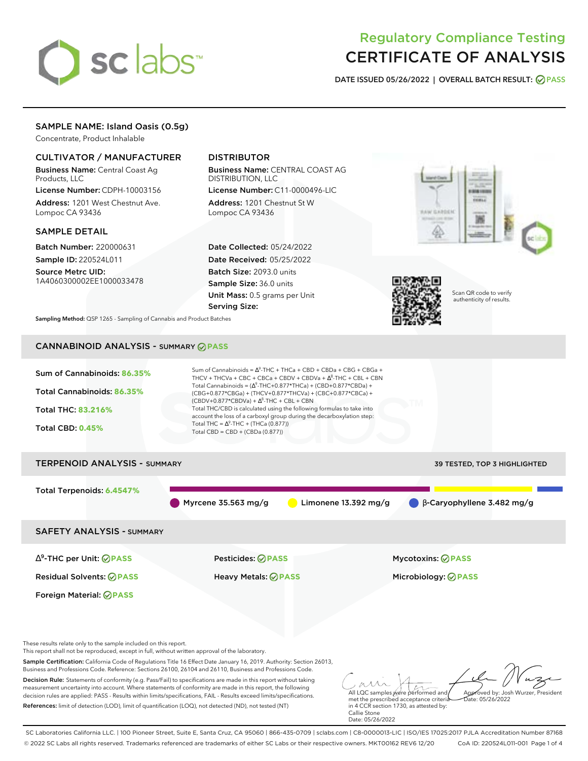# sclabs<sup>\*</sup>

# Regulatory Compliance Testing CERTIFICATE OF ANALYSIS

**DATE ISSUED 05/26/2022 | OVERALL BATCH RESULT: PASS**

# SAMPLE NAME: Island Oasis (0.5g)

Concentrate, Product Inhalable

# CULTIVATOR / MANUFACTURER

Business Name: Central Coast Ag Products, LLC

License Number: CDPH-10003156 Address: 1201 West Chestnut Ave. Lompoc CA 93436

# SAMPLE DETAIL

Batch Number: 220000631 Sample ID: 220524L011

Source Metrc UID: 1A4060300002EE1000033478

# DISTRIBUTOR

Business Name: CENTRAL COAST AG DISTRIBUTION, LLC License Number: C11-0000496-LIC

Address: 1201 Chestnut St W Lompoc CA 93436

Date Collected: 05/24/2022 Date Received: 05/25/2022 Batch Size: 2093.0 units Sample Size: 36.0 units Unit Mass: 0.5 grams per Unit Serving Size:





Scan QR code to verify authenticity of results.

**Sampling Method:** QSP 1265 - Sampling of Cannabis and Product Batches

# CANNABINOID ANALYSIS - SUMMARY **PASS**

| Sum of Cannabinoids: 86.35%<br>Total Cannabinoids: 86.35%<br><b>Total THC: 83.216%</b><br><b>Total CBD: 0.45%</b>                                                    | Sum of Cannabinoids = $\Delta^9$ -THC + THCa + CBD + CBDa + CBG + CBGa +<br>THCV + THCVa + CBC + CBCa + CBDV + CBDVa + $\Delta^8$ -THC + CBL + CBN<br>Total Cannabinoids = $(\Delta^9$ -THC+0.877*THCa) + (CBD+0.877*CBDa) +<br>(CBG+0.877*CBGa) + (THCV+0.877*THCVa) + (CBC+0.877*CBCa) +<br>$(CBDV+0.877*CBDVa) + \Delta^8$ -THC + CBL + CBN<br>Total THC/CBD is calculated using the following formulas to take into<br>account the loss of a carboxyl group during the decarboxylation step:<br>Total THC = $\Delta^9$ -THC + (THCa (0.877))<br>Total CBD = $CBD + (CBDa (0.877))$ |                                                             |
|----------------------------------------------------------------------------------------------------------------------------------------------------------------------|----------------------------------------------------------------------------------------------------------------------------------------------------------------------------------------------------------------------------------------------------------------------------------------------------------------------------------------------------------------------------------------------------------------------------------------------------------------------------------------------------------------------------------------------------------------------------------------|-------------------------------------------------------------|
| <b>TERPENOID ANALYSIS - SUMMARY</b>                                                                                                                                  |                                                                                                                                                                                                                                                                                                                                                                                                                                                                                                                                                                                        | 39 TESTED, TOP 3 HIGHLIGHTED                                |
| Total Terpenoids: 6.4547%                                                                                                                                            | Myrcene $35.563$ mg/g                                                                                                                                                                                                                                                                                                                                                                                                                                                                                                                                                                  | Limonene $13.392$ mg/g<br>$\beta$ -Caryophyllene 3.482 mg/g |
| <b>SAFETY ANALYSIS - SUMMARY</b>                                                                                                                                     |                                                                                                                                                                                                                                                                                                                                                                                                                                                                                                                                                                                        |                                                             |
| $\Delta^9$ -THC per Unit: $\bigcirc$ PASS                                                                                                                            | <b>Pesticides: ⊘ PASS</b>                                                                                                                                                                                                                                                                                                                                                                                                                                                                                                                                                              | <b>Mycotoxins: ⊘PASS</b>                                    |
| <b>Residual Solvents: ØPASS</b>                                                                                                                                      | <b>Heavy Metals: ⊘ PASS</b>                                                                                                                                                                                                                                                                                                                                                                                                                                                                                                                                                            | Microbiology: <b>⊘PASS</b>                                  |
| Foreign Material: <b>⊘ PASS</b>                                                                                                                                      |                                                                                                                                                                                                                                                                                                                                                                                                                                                                                                                                                                                        |                                                             |
| These results relate only to the sample included on this report.<br>This report shall not be reproduced, except in full, without written approval of the laboratory. |                                                                                                                                                                                                                                                                                                                                                                                                                                                                                                                                                                                        |                                                             |
|                                                                                                                                                                      | Cample Contification: Colifornia Code of Deculations Title 14 Effect Data January 14, 2010, Authority: Costian 24012                                                                                                                                                                                                                                                                                                                                                                                                                                                                   |                                                             |

Sample Certification: California Code of Regulations Title 16 Effect Date January 16, 2019. Authority: Section 26013, Business and Professions Code. Reference: Sections 26100, 26104 and 26110, Business and Professions Code. Decision Rule: Statements of conformity (e.g. Pass/Fail) to specifications are made in this report without taking

measurement uncertainty into account. Where statements of conformity are made in this report, the following decision rules are applied: PASS - Results within limits/specifications, FAIL - Results exceed limits/specifications. References: limit of detection (LOD), limit of quantification (LOQ), not detected (ND), not tested (NT)

All LQC samples were performed and met the prescribed acceptance criteria Approved by: Josh Wurzer, President Date: 05/26/2022

in 4 CCR section 1730, as attested by: Callie Stone Date: 05/26/2022

SC Laboratories California LLC. | 100 Pioneer Street, Suite E, Santa Cruz, CA 95060 | 866-435-0709 | sclabs.com | C8-0000013-LIC | ISO/IES 17025:2017 PJLA Accreditation Number 87168 © 2022 SC Labs all rights reserved. Trademarks referenced are trademarks of either SC Labs or their respective owners. MKT00162 REV6 12/20 CoA ID: 220524L011-001 Page 1 of 4